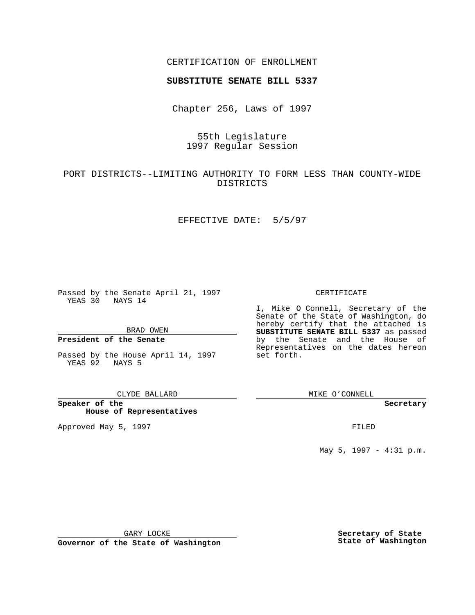## CERTIFICATION OF ENROLLMENT

# **SUBSTITUTE SENATE BILL 5337**

Chapter 256, Laws of 1997

# 55th Legislature 1997 Regular Session

# PORT DISTRICTS--LIMITING AUTHORITY TO FORM LESS THAN COUNTY-WIDE DISTRICTS

### EFFECTIVE DATE: 5/5/97

Passed by the Senate April 21, 1997 YEAS 30 NAYS 14

BRAD OWEN

### **President of the Senate**

Passed by the House April 14, 1997 YEAS 92 NAYS 5

#### CLYDE BALLARD

**Speaker of the House of Representatives**

Approved May 5, 1997 **FILED** 

### CERTIFICATE

I, Mike O Connell, Secretary of the Senate of the State of Washington, do hereby certify that the attached is **SUBSTITUTE SENATE BILL 5337** as passed by the Senate and the House of Representatives on the dates hereon set forth.

MIKE O'CONNELL

#### **Secretary**

May 5, 1997 - 4:31 p.m.

GARY LOCKE

**Governor of the State of Washington**

**Secretary of State State of Washington**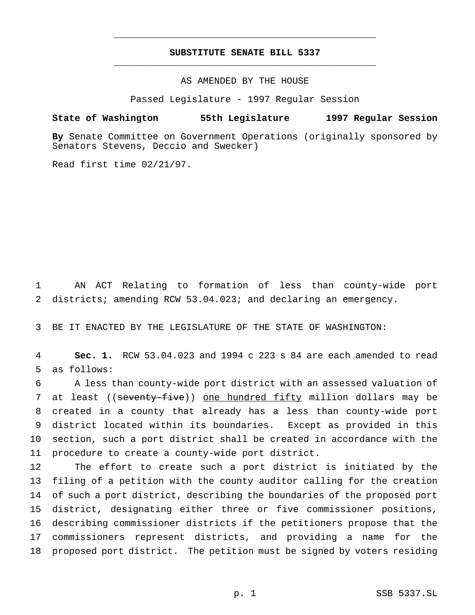## **SUBSTITUTE SENATE BILL 5337** \_\_\_\_\_\_\_\_\_\_\_\_\_\_\_\_\_\_\_\_\_\_\_\_\_\_\_\_\_\_\_\_\_\_\_\_\_\_\_\_\_\_\_\_\_\_\_

\_\_\_\_\_\_\_\_\_\_\_\_\_\_\_\_\_\_\_\_\_\_\_\_\_\_\_\_\_\_\_\_\_\_\_\_\_\_\_\_\_\_\_\_\_\_\_

AS AMENDED BY THE HOUSE

Passed Legislature - 1997 Regular Session

### **State of Washington 55th Legislature 1997 Regular Session**

**By** Senate Committee on Government Operations (originally sponsored by Senators Stevens, Deccio and Swecker)

Read first time 02/21/97.

 AN ACT Relating to formation of less than county-wide port districts; amending RCW 53.04.023; and declaring an emergency.

BE IT ENACTED BY THE LEGISLATURE OF THE STATE OF WASHINGTON:

 **Sec. 1.** RCW 53.04.023 and 1994 c 223 s 84 are each amended to read as follows:

 A less than county-wide port district with an assessed valuation of 7 at least ((seventy-five)) one hundred fifty million dollars may be created in a county that already has a less than county-wide port district located within its boundaries. Except as provided in this section, such a port district shall be created in accordance with the procedure to create a county-wide port district.

 The effort to create such a port district is initiated by the filing of a petition with the county auditor calling for the creation of such a port district, describing the boundaries of the proposed port district, designating either three or five commissioner positions, describing commissioner districts if the petitioners propose that the commissioners represent districts, and providing a name for the proposed port district. The petition must be signed by voters residing